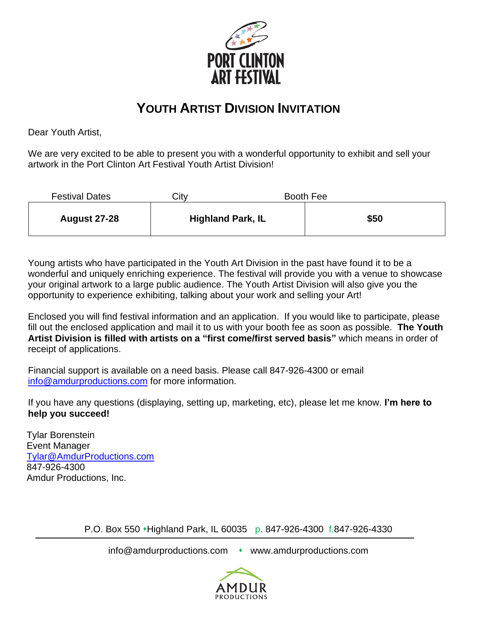

## **YOUTH ARTIST DIVISION INVITATION**

Dear Youth Artist,

We are very excited to be able to present you with a wonderful opportunity to exhibit and sell your artwork in the Port Clinton Art Festival Youth Artist Division!

| <b>Festival Dates</b> | Citv |                          | <b>Booth Fee</b> |
|-----------------------|------|--------------------------|------------------|
| <b>August 27-28</b>   |      | <b>Highland Park, IL</b> | \$50             |

Young artists who have participated in the Youth Art Division in the past have found it to be a wonderful and uniquely enriching experience. The festival will provide you with a venue to showcase your original artwork to a large public audience. The Youth Artist Division will also give you the opportunity to experience exhibiting, talking about your work and selling your Art!

Enclosed you will find festival information and an application. If you would like to participate, please fill out the enclosed application and mail it to us with your booth fee as soon as possible. **The Youth Artist Division is filled with artists on a "first come/first served basis"** which means in order of receipt of applications.

Financial support is available on a need basis. Please call 847-926-4300 or email [info@amdurproductions.com](mailto:info@amdurproductions.com) for more information.

If you have any questions (displaying, setting up, marketing, etc), please let me know. **I'm here to help you succeed!**

Tylar Borenstein Event Manager [Tylar@AmdurProductions.com](mailto:Tylar@AmdurProductions.com) 847-926-4300 Amdur Productions, Inc.

P.O. Box 550 ⬧Highland Park, IL 60035 p. 847-926-4300 f.847-926-4330

info@amdurproductions.com • www.amdurproductions.com

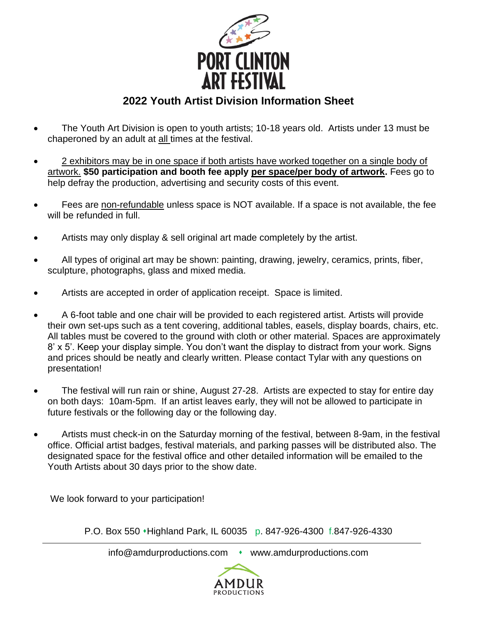

## **2022 Youth Artist Division Information Sheet**

- The Youth Art Division is open to youth artists; 10-18 years old. Artists under 13 must be chaperoned by an adult at all times at the festival.
- 2 exhibitors may be in one space if both artists have worked together on a single body of artwork. **\$50 participation and booth fee apply per space/per body of artwork.** Fees go to help defray the production, advertising and security costs of this event.
- Fees are non-refundable unless space is NOT available. If a space is not available, the fee will be refunded in full.
- Artists may only display & sell original art made completely by the artist.
- All types of original art may be shown: painting, drawing, jewelry, ceramics, prints, fiber, sculpture, photographs, glass and mixed media.
- Artists are accepted in order of application receipt. Space is limited.
- A 6-foot table and one chair will be provided to each registered artist. Artists will provide their own set-ups such as a tent covering, additional tables, easels, display boards, chairs, etc. All tables must be covered to the ground with cloth or other material. Spaces are approximately 8' x 5'. Keep your display simple. You don't want the display to distract from your work. Signs and prices should be neatly and clearly written. Please contact Tylar with any questions on presentation!
- The festival will run rain or shine, August 27-28. Artists are expected to stay for entire day on both days: 10am-5pm. If an artist leaves early, they will not be allowed to participate in future festivals or the following day or the following day.
- Artists must check-in on the Saturday morning of the festival, between 8-9am, in the festival office. Official artist badges, festival materials, and parking passes will be distributed also. The designated space for the festival office and other detailed information will be emailed to the Youth Artists about 30 days prior to the show date.

We look forward to your participation!

P.O. Box 550 • Highland Park, IL 60035 p. 847-926-4300 f.847-926-4330

info@amdurproductions.com • www.amdurproductions.com